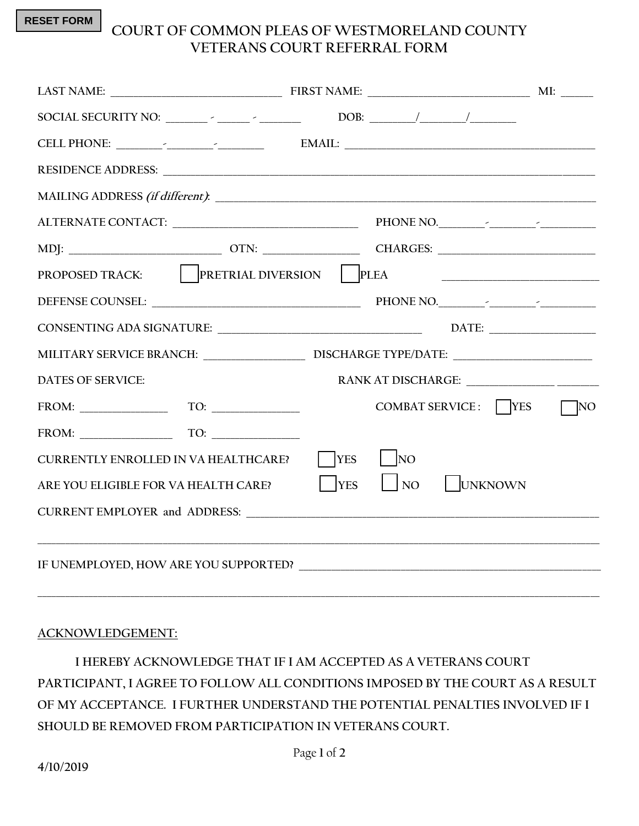**RESET FORM**

## **COURT OF COMMON PLEAS OF WESTMORELAND COUNTY VETERANS COURT REFERRAL FORM**

| PROPOSED TRACK: PRETRIAL DIVERSION PLEA                                                                                                                                                                                                                                                                                                                                                                                                                                                                                                                                                                                         |                            |                                                |           |
|---------------------------------------------------------------------------------------------------------------------------------------------------------------------------------------------------------------------------------------------------------------------------------------------------------------------------------------------------------------------------------------------------------------------------------------------------------------------------------------------------------------------------------------------------------------------------------------------------------------------------------|----------------------------|------------------------------------------------|-----------|
|                                                                                                                                                                                                                                                                                                                                                                                                                                                                                                                                                                                                                                 |                            |                                                |           |
|                                                                                                                                                                                                                                                                                                                                                                                                                                                                                                                                                                                                                                 |                            |                                                |           |
| MILITARY SERVICE BRANCH: __________________________________DISCHARGE TYPE/DATE: _____________________________                                                                                                                                                                                                                                                                                                                                                                                                                                                                                                                   |                            |                                                |           |
| <b>DATES OF SERVICE:</b>                                                                                                                                                                                                                                                                                                                                                                                                                                                                                                                                                                                                        |                            |                                                |           |
| $TQ: \underline{\hspace{1cm}} \underline{\hspace{1cm}} \underline{\hspace{1cm}} \underline{\hspace{1cm}} \underline{\hspace{1cm}} \underline{\hspace{1cm}} \underline{\hspace{1cm}} \underline{\hspace{1cm}} \underline{\hspace{1cm}} \underline{\hspace{1cm}} \underline{\hspace{1cm}} \underline{\hspace{1cm}} \underline{\hspace{1cm}} \underline{\hspace{1cm}} \underline{\hspace{1cm}} \underline{\hspace{1cm}} \underline{\hspace{1cm}} \underline{\hspace{1cm}} \underline{\hspace{1cm}} \underline{\hspace{1cm}} \underline{\hspace{1cm}} \underline{\hspace{1cm}} \underline{\hspace{1cm}} \underline{\hspace{1cm}} \$ |                            | COMBAT SERVICE: $\bigcap$ YES                  | $\Box$ NO |
| $FROM: \begin{tabular}{c} \multicolumn{2}{c} {\textbf{FROM}}: \\ \multicolumn{2}{c} {\textbf{FROM}}: \\ \multicolumn{2}{c} {\textbf{FROM}}: \\ \multicolumn{2}{c} {\textbf{FROM}}: \\ \multicolumn{2}{c} {\textbf{FROM}}: \\ \multicolumn{2}{c} {\textbf{FROM}}: \\ \multicolumn{2}{c} {\textbf{FROM}}: \\ \multicolumn{2}{c} {\textbf{FROM}}: \\ \multicolumn{2}{c} {\textbf{FOM}}: \\ \multicolumn{2}{c} {\textbf{FOM}}: \\ \multicolumn{2}{c} {\textbf{FOM}}: \\ \multicolumn{2}{c} {\text$                                                                                                                                  |                            |                                                |           |
| <b>CURRENTLY ENROLLED IN VA HEALTHCARE?</b>                                                                                                                                                                                                                                                                                                                                                                                                                                                                                                                                                                                     | $\bigcap$ YES $\bigcap$ NO |                                                |           |
| ARE YOU ELIGIBLE FOR VA HEALTH CARE?                                                                                                                                                                                                                                                                                                                                                                                                                                                                                                                                                                                            |                            | $\vert$ $\vert$ YES $\vert$ NO $\vert$ UNKNOWN |           |
|                                                                                                                                                                                                                                                                                                                                                                                                                                                                                                                                                                                                                                 |                            |                                                |           |
| ,我们的人们就会在这里的人们,我们也不会在这里的人们,我们也不会在这里的人们,我们也不会在这里的人们,我们也不会在这里的人们,我们也不会在这里的人们,我们也不会                                                                                                                                                                                                                                                                                                                                                                                                                                                                                                                                                |                            |                                                |           |

## **ACKNOWLEDGEMENT:**

**I HEREBY ACKNOWLEDGE THAT IF I AM ACCEPTED AS A VETERANS COURT PARTICIPANT, I AGREE TO FOLLOW ALL CONDITIONS IMPOSED BY THE COURT AS A RESULT OF MY ACCEPTANCE. I FURTHER UNDERSTAND THE POTENTIAL PENALTIES INVOLVED IF I SHOULD BE REMOVED FROM PARTICIPATION IN VETERANS COURT.**

**\_\_\_\_\_\_\_\_\_\_\_\_\_\_\_\_\_\_\_\_\_\_\_\_\_\_\_\_\_\_\_\_\_\_\_\_\_\_\_\_\_\_\_\_\_\_\_\_\_\_\_\_\_\_\_\_\_\_\_\_\_\_\_\_\_\_\_\_\_\_\_\_\_\_\_\_\_\_\_\_\_\_\_\_\_\_\_\_\_\_\_\_\_\_\_\_\_\_\_\_\_\_\_\_\_\_\_\_\_\_\_\_\_\_\_\_\_\_\_\_\_**